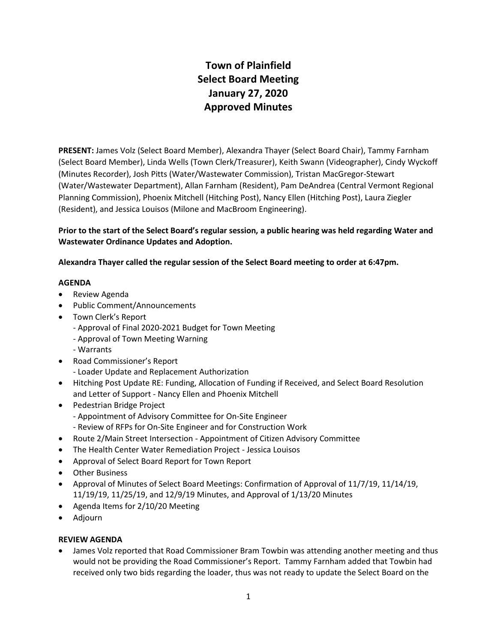# **Town of Plainfield Select Board Meeting January 27, 2020 Approved Minutes**

**PRESENT:** James Volz (Select Board Member), Alexandra Thayer (Select Board Chair), Tammy Farnham (Select Board Member), Linda Wells (Town Clerk/Treasurer), Keith Swann (Videographer), Cindy Wyckoff (Minutes Recorder), Josh Pitts (Water/Wastewater Commission), Tristan MacGregor-Stewart (Water/Wastewater Department), Allan Farnham (Resident), Pam DeAndrea (Central Vermont Regional Planning Commission), Phoenix Mitchell (Hitching Post), Nancy Ellen (Hitching Post), Laura Ziegler (Resident), and Jessica Louisos (Milone and MacBroom Engineering).

**Prior to the start of the Select Board's regular session, a public hearing was held regarding Water and Wastewater Ordinance Updates and Adoption.** 

**Alexandra Thayer called the regular session of the Select Board meeting to order at 6:47pm.** 

## **AGENDA**

- Review Agenda
- Public Comment/Announcements
- Town Clerk's Report
	- Approval of Final 2020-2021 Budget for Town Meeting
	- Approval of Town Meeting Warning
	- Warrants
- Road Commissioner's Report
	- Loader Update and Replacement Authorization
- Hitching Post Update RE: Funding, Allocation of Funding if Received, and Select Board Resolution and Letter of Support - Nancy Ellen and Phoenix Mitchell
- Pedestrian Bridge Project
	- Appointment of Advisory Committee for On-Site Engineer
	- Review of RFPs for On-Site Engineer and for Construction Work
- Route 2/Main Street Intersection Appointment of Citizen Advisory Committee
- The Health Center Water Remediation Project Jessica Louisos
- Approval of Select Board Report for Town Report
- Other Business
- Approval of Minutes of Select Board Meetings: Confirmation of Approval of 11/7/19, 11/14/19, 11/19/19, 11/25/19, and 12/9/19 Minutes, and Approval of 1/13/20 Minutes
- Agenda Items for 2/10/20 Meeting
- Adjourn

# **REVIEW AGENDA**

 James Volz reported that Road Commissioner Bram Towbin was attending another meeting and thus would not be providing the Road Commissioner's Report. Tammy Farnham added that Towbin had received only two bids regarding the loader, thus was not ready to update the Select Board on the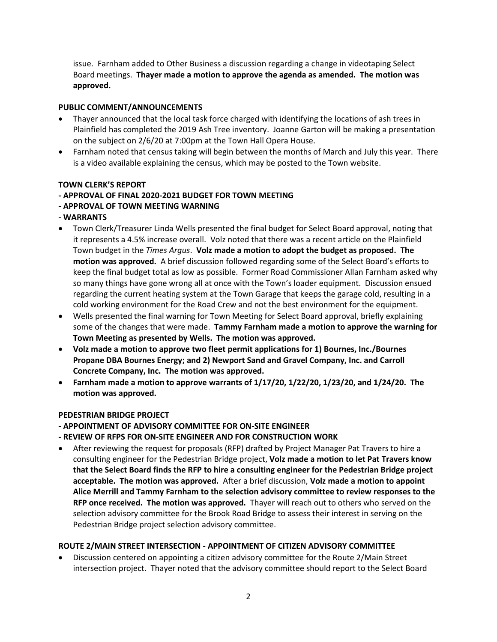issue. Farnham added to Other Business a discussion regarding a change in videotaping Select Board meetings. **Thayer made a motion to approve the agenda as amended. The motion was approved.**

#### **PUBLIC COMMENT/ANNOUNCEMENTS**

- Thayer announced that the local task force charged with identifying the locations of ash trees in Plainfield has completed the 2019 Ash Tree inventory. Joanne Garton will be making a presentation on the subject on 2/6/20 at 7:00pm at the Town Hall Opera House.
- Farnham noted that census taking will begin between the months of March and July this year. There is a video available explaining the census, which may be posted to the Town website.

## **TOWN CLERK'S REPORT**

# **- APPROVAL OF FINAL 2020-2021 BUDGET FOR TOWN MEETING**

- **- APPROVAL OF TOWN MEETING WARNING**
- **- WARRANTS**
- Town Clerk/Treasurer Linda Wells presented the final budget for Select Board approval, noting that it represents a 4.5% increase overall. Volz noted that there was a recent article on the Plainfield Town budget in the *Times Argus*. **Volz made a motion to adopt the budget as proposed. The motion was approved.** A brief discussion followed regarding some of the Select Board's efforts to keep the final budget total as low as possible. Former Road Commissioner Allan Farnham asked why so many things have gone wrong all at once with the Town's loader equipment. Discussion ensued regarding the current heating system at the Town Garage that keeps the garage cold, resulting in a cold working environment for the Road Crew and not the best environment for the equipment.
- Wells presented the final warning for Town Meeting for Select Board approval, briefly explaining some of the changes that were made. **Tammy Farnham made a motion to approve the warning for Town Meeting as presented by Wells. The motion was approved.**
- **Volz made a motion to approve two fleet permit applications for 1) Bournes, Inc./Bournes Propane DBA Bournes Energy; and 2) Newport Sand and Gravel Company, Inc. and Carroll Concrete Company, Inc. The motion was approved.**
- **Farnham made a motion to approve warrants of 1/17/20, 1/22/20, 1/23/20, and 1/24/20. The motion was approved.**

#### **PEDESTRIAN BRIDGE PROJECT**

- **- APPOINTMENT OF ADVISORY COMMITTEE FOR ON-SITE ENGINEER**
- **- REVIEW OF RFPS FOR ON-SITE ENGINEER AND FOR CONSTRUCTION WORK**
- After reviewing the request for proposals (RFP) drafted by Project Manager Pat Travers to hire a consulting engineer for the Pedestrian Bridge project, **Volz made a motion to let Pat Travers know that the Select Board finds the RFP to hire a consulting engineer for the Pedestrian Bridge project acceptable. The motion was approved.** After a brief discussion, **Volz made a motion to appoint Alice Merrill and Tammy Farnham to the selection advisory committee to review responses to the RFP once received. The motion was approved.** Thayer will reach out to others who served on the selection advisory committee for the Brook Road Bridge to assess their interest in serving on the Pedestrian Bridge project selection advisory committee.

# **ROUTE 2/MAIN STREET INTERSECTION - APPOINTMENT OF CITIZEN ADVISORY COMMITTEE**

 Discussion centered on appointing a citizen advisory committee for the Route 2/Main Street intersection project. Thayer noted that the advisory committee should report to the Select Board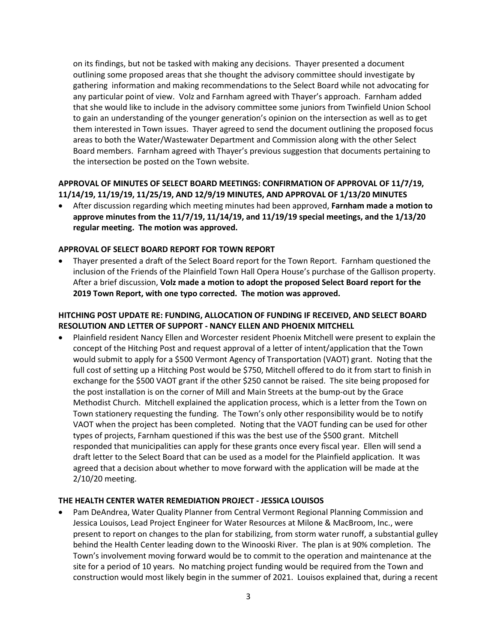on its findings, but not be tasked with making any decisions. Thayer presented a document outlining some proposed areas that she thought the advisory committee should investigate by gathering information and making recommendations to the Select Board while not advocating for any particular point of view. Volz and Farnham agreed with Thayer's approach. Farnham added that she would like to include in the advisory committee some juniors from Twinfield Union School to gain an understanding of the younger generation's opinion on the intersection as well as to get them interested in Town issues. Thayer agreed to send the document outlining the proposed focus areas to both the Water/Wastewater Department and Commission along with the other Select Board members. Farnham agreed with Thayer's previous suggestion that documents pertaining to the intersection be posted on the Town website.

## **APPROVAL OF MINUTES OF SELECT BOARD MEETINGS: CONFIRMATION OF APPROVAL OF 11/7/19, 11/14/19, 11/19/19, 11/25/19, AND 12/9/19 MINUTES, AND APPROVAL OF 1/13/20 MINUTES**

 After discussion regarding which meeting minutes had been approved, **Farnham made a motion to approve minutes from the 11/7/19, 11/14/19, and 11/19/19 special meetings, and the 1/13/20 regular meeting. The motion was approved.** 

## **APPROVAL OF SELECT BOARD REPORT FOR TOWN REPORT**

 Thayer presented a draft of the Select Board report for the Town Report. Farnham questioned the inclusion of the Friends of the Plainfield Town Hall Opera House's purchase of the Gallison property. After a brief discussion, **Volz made a motion to adopt the proposed Select Board report for the 2019 Town Report, with one typo corrected. The motion was approved.**

# **HITCHING POST UPDATE RE: FUNDING, ALLOCATION OF FUNDING IF RECEIVED, AND SELECT BOARD RESOLUTION AND LETTER OF SUPPORT - NANCY ELLEN AND PHOENIX MITCHELL**

 Plainfield resident Nancy Ellen and Worcester resident Phoenix Mitchell were present to explain the concept of the Hitching Post and request approval of a letter of intent/application that the Town would submit to apply for a \$500 Vermont Agency of Transportation (VAOT) grant. Noting that the full cost of setting up a Hitching Post would be \$750, Mitchell offered to do it from start to finish in exchange for the \$500 VAOT grant if the other \$250 cannot be raised. The site being proposed for the post installation is on the corner of Mill and Main Streets at the bump-out by the Grace Methodist Church. Mitchell explained the application process, which is a letter from the Town on Town stationery requesting the funding. The Town's only other responsibility would be to notify VAOT when the project has been completed. Noting that the VAOT funding can be used for other types of projects, Farnham questioned if this was the best use of the \$500 grant. Mitchell responded that municipalities can apply for these grants once every fiscal year. Ellen will send a draft letter to the Select Board that can be used as a model for the Plainfield application. It was agreed that a decision about whether to move forward with the application will be made at the 2/10/20 meeting.

#### **THE HEALTH CENTER WATER REMEDIATION PROJECT - JESSICA LOUISOS**

 Pam DeAndrea, Water Quality Planner from Central Vermont Regional Planning Commission and Jessica Louisos, Lead Project Engineer for Water Resources at Milone & MacBroom, Inc., were present to report on changes to the plan for stabilizing, from storm water runoff, a substantial gulley behind the Health Center leading down to the Winooski River. The plan is at 90% completion. The Town's involvement moving forward would be to commit to the operation and maintenance at the site for a period of 10 years. No matching project funding would be required from the Town and construction would most likely begin in the summer of 2021. Louisos explained that, during a recent